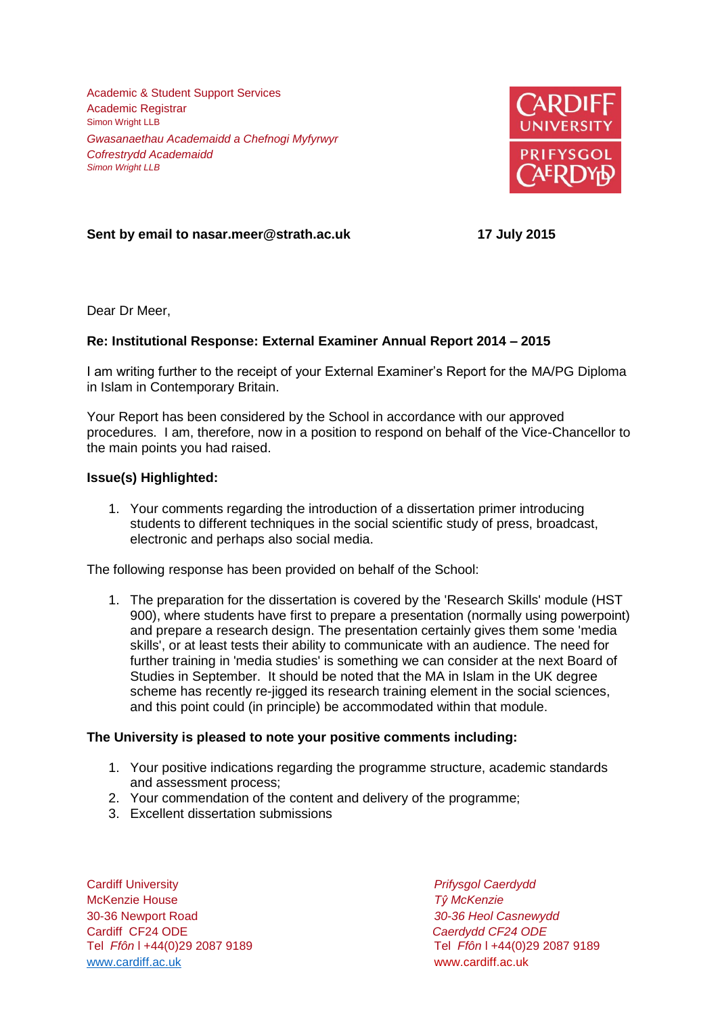Academic & Student Support Services Academic Registrar Simon Wright LLB *Gwasanaethau Academaidd a Chefnogi Myfyrwyr Cofrestrydd Academaidd Simon Wright LLB*



**Sent by email to nasar.meer@strath.ac.uk 17 July 2015**

Dear Dr Meer,

## **Re: Institutional Response: External Examiner Annual Report 2014 – 2015**

I am writing further to the receipt of your External Examiner's Report for the MA/PG Diploma in Islam in Contemporary Britain.

Your Report has been considered by the School in accordance with our approved procedures. I am, therefore, now in a position to respond on behalf of the Vice-Chancellor to the main points you had raised.

## **Issue(s) Highlighted:**

1. Your comments regarding the introduction of a dissertation primer introducing students to different techniques in the social scientific study of press, broadcast, electronic and perhaps also social media.

The following response has been provided on behalf of the School:

1. The preparation for the dissertation is covered by the 'Research Skills' module (HST 900), where students have first to prepare a presentation (normally using powerpoint) and prepare a research design. The presentation certainly gives them some 'media skills', or at least tests their ability to communicate with an audience. The need for further training in 'media studies' is something we can consider at the next Board of Studies in September. It should be noted that the MA in Islam in the UK degree scheme has recently re-jigged its research training element in the social sciences, and this point could (in principle) be accommodated within that module.

## **The University is pleased to note your positive comments including:**

- 1. Your positive indications regarding the programme structure, academic standards and assessment process;
- 2. Your commendation of the content and delivery of the programme;
- 3. Excellent dissertation submissions

Cardiff University *Prifysgol Caerdydd* McKenzie House *Tŷ McKenzie* 30-36 Newport Road *30-36 Heol Casnewydd* Tel *Ffôn* l +44(0)29 2087 9189 Tel *Ffôn* l +44(0)29 2087 9189 [www.cardiff.ac.uk](http://www.cardiff.ac.uk/) www.cardiff.ac.uk

Cardiff CF24 ODE *Caerdydd CF24 ODE*